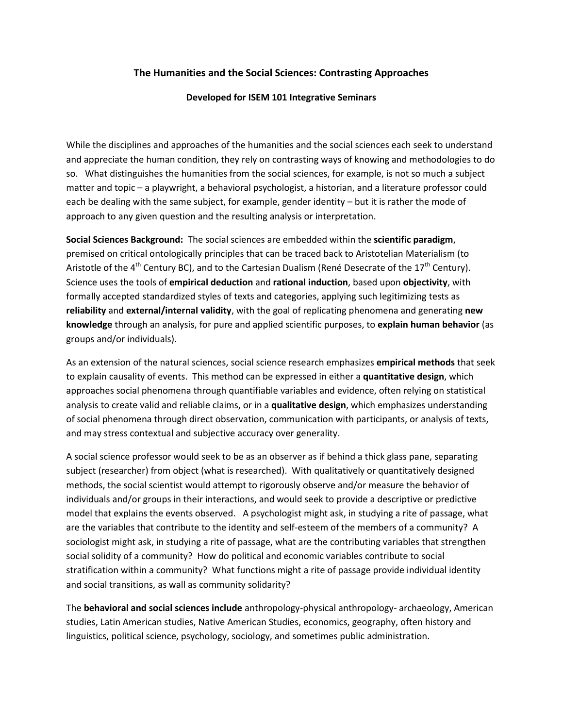# **The Humanities and the Social Sciences: Contrasting Approaches**

# **Developed for ISEM 101 Integrative Seminars**

While the disciplines and approaches of the humanities and the social sciences each seek to understand and appreciate the human condition, they rely on contrasting ways of knowing and methodologies to do so. What distinguishes the humanities from the social sciences, for example, is not so much a subject matter and topic – a playwright, a behavioral psychologist, a historian, and a literature professor could each be dealing with the same subject, for example, gender identity – but it is rather the mode of approach to any given question and the resulting analysis or interpretation.

**Social Sciences Background:** The social sciences are embedded within the **scientific paradigm**, premised on critical ontologically principles that can be traced back to Aristotelian Materialism (to Aristotle of the 4<sup>th</sup> Century BC), and to the Cartesian Dualism (René Desecrate of the 17<sup>th</sup> Century). Science uses the tools of **empirical deduction** and **rational induction**, based upon **objectivity**, with formally accepted standardized styles of texts and categories, applying such legitimizing tests as **reliability** and **external/internal validity**, with the goal of replicating phenomena and generating **new knowledge** through an analysis, for pure and applied scientific purposes, to **explain human behavior** (as groups and/or individuals).

As an extension of the natural sciences, social science research emphasizes **empirical methods** that seek to explain causality of events. This method can be expressed in either a **quantitative design**, which approaches social phenomena through quantifiable variables and evidence, often relying on statistical analysis to create valid and reliable claims, or in a **qualitative design**, which emphasizes understanding of social phenomena through direct observation, communication with participants, or analysis of texts, and may stress contextual and subjective accuracy over generality.

A social science professor would seek to be as an observer as if behind a thick glass pane, separating subject (researcher) from object (what is researched). With qualitatively or quantitatively designed methods, the social scientist would attempt to rigorously observe and/or measure the behavior of individuals and/or groups in their interactions, and would seek to provide a descriptive or predictive model that explains the events observed. A psychologist might ask, in studying a rite of passage, what are the variables that contribute to the identity and self-esteem of the members of a community? A sociologist might ask, in studying a rite of passage, what are the contributing variables that strengthen social solidity of a community? How do political and economic variables contribute to social stratification within a community? What functions might a rite of passage provide individual identity and social transitions, as wall as community solidarity?

The **behavioral and social sciences include** anthropology-physical anthropology- archaeology, American studies, Latin American studies, Native American Studies, economics, geography, often history and linguistics, political science, psychology, sociology, and sometimes public administration.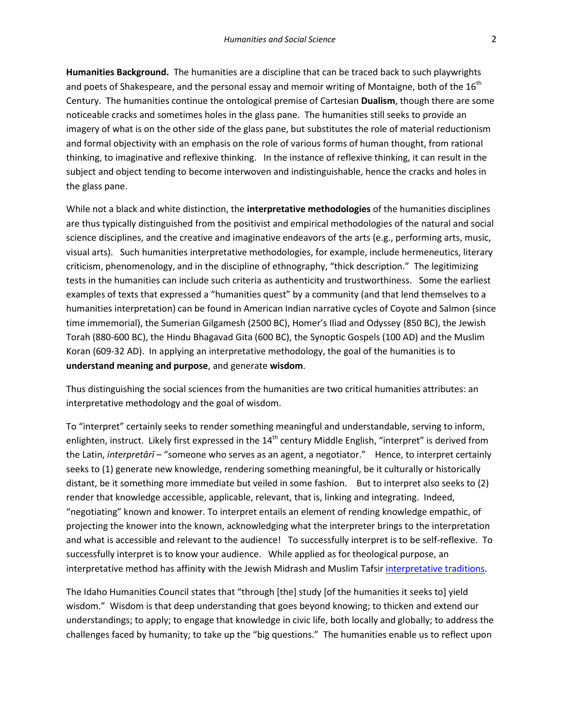**Humanities Background.** The humanities are a discipline that can be traced back to such playwrights and poets of Shakespeare, and the personal essay and memoir writing of Montaigne, both of the  $16<sup>th</sup>$ Century. The humanities continue the ontological premise of Cartesian **Dualism**, though there are some noticeable cracks and sometimes holes in the glass pane. The humanities still seeks to provide an imagery of what is on the other side of the glass pane, but substitutes the role of material reductionism and formal objectivity with an emphasis on the role of various forms of human thought, from rational thinking, to imaginative and reflexive thinking. In the instance of reflexive thinking, it can result in the subject and object tending to become interwoven and indistinguishable, hence the cracks and holes in the glass pane.

While not a black and white distinction, the **interpretative methodologies** of the humanities disciplines are thus typically distinguished from the positivist and empirical methodologies of the natural and social science disciplines, and the creative and imaginative endeavors of the arts (e.g., performing arts, music, visual arts). Such humanities interpretative methodologies, for example, include hermeneutics, literary criticism, phenomenology, and in the discipline of ethnography, "thick description." The legitimizing tests in the humanities can include such criteria as authenticity and trustworthiness. Some the earliest examples of texts that expressed a "humanities quest" by a community (and that lend themselves to a humanities interpretation) can be found in American Indian narrative cycles of Coyote and Salmon (since time immemorial), the Sumerian Gilgamesh (2500 BC), Homer's Iliad and Odyssey (850 BC), the Jewish Torah (880-600 BC), the Hindu Bhagavad Gita (600 BC), the Synoptic Gospels (100 AD) and the Muslim Koran (609-32 AD). In applying an interpretative methodology, the goal of the humanities is to **understand meaning and purpose**, and generate **wisdom**.

Thus distinguishing the social sciences from the humanities are two critical humanities attributes: an interpretative methodology and the goal of wisdom.

To "interpret" certainly seeks to render something meaningful and understandable, serving to inform, enlighten, instruct. Likely first expressed in the 14<sup>th</sup> century Middle English, "interpret" is derived from the Latin, *interpretārī* – "someone who serves as an agent, a negotiator." Hence, to interpret certainly seeks to (1) generate new knowledge, rendering something meaningful, be it culturally or historically distant, be it something more immediate but veiled in some fashion. But to interpret also seeks to (2) render that knowledge accessible, applicable, relevant, that is, linking and integrating. Indeed, "negotiating" known and knower. To interpret entails an element of rending knowledge empathic, of projecting the knower into the known, acknowledging what the interpreter brings to the interpretation and what is accessible and relevant to the audience! To successfully interpret is to be self-reflexive. To successfully interpret is to know your audience. While applied as for theological purpose, an interpretative method has affinity with the Jewish Midrash and Muslim Tafsir [interpretative traditions.](http://www.webpages.uidaho.edu/~rfrey/PDF/166/Judaism%20Christianity/midrash.pdf)

The Idaho Humanities Council states that "through [the] study [of the humanities it seeks to] yield wisdom." Wisdom is that deep understanding that goes beyond knowing; to thicken and extend our understandings; to apply; to engage that knowledge in civic life, both locally and globally; to address the challenges faced by humanity; to take up the "big questions." The humanities enable us to reflect upon